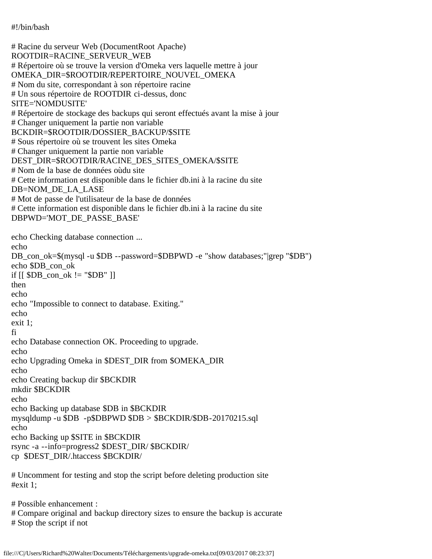#!/bin/bash

# Racine du serveur Web (DocumentRoot Apache) ROOTDIR=RACINE\_SERVEUR\_WEB # Répertoire où se trouve la version d'Omeka vers laquelle mettre à jour OMEKA\_DIR=\$ROOTDIR/REPERTOIRE\_NOUVEL\_OMEKA # Nom du site, correspondant à son répertoire racine # Un sous répertoire de ROOTDIR ci-dessus, donc SITE='NOMDUSITE' # Répertoire de stockage des backups qui seront effectués avant la mise à jour # Changer uniquement la partie non variable BCKDIR=\$ROOTDIR/DOSSIER\_BACKUP/\$SITE # Sous répertoire où se trouvent les sites Omeka # Changer uniquement la partie non variable DEST\_DIR=\$ROOTDIR/RACINE\_DES\_SITES\_OMEKA/\$SITE # Nom de la base de données oùdu site # Cette information est disponible dans le fichier db.ini à la racine du site DB=NOM\_DE\_LA\_LASE # Mot de passe de l'utilisateur de la base de données # Cette information est disponible dans le fichier db.ini à la racine du site DBPWD='MOT\_DE\_PASSE\_BASE' echo Checking database connection ... echo DB\_con\_ok=\$(mysql -u \$DB --password=\$DBPWD -e "show databases;"|grep "\$DB") echo \$DB\_con\_ok if  $[$ [  $$DB_{con\_ok}$  != " $$DB"$ ]] then echo echo "Impossible to connect to database. Exiting." echo exit 1; fi echo Database connection OK. Proceeding to upgrade. echo echo Upgrading Omeka in \$DEST\_DIR from \$OMEKA\_DIR echo echo Creating backup dir \$BCKDIR mkdir \$BCKDIR echo echo Backing up database \$DB in \$BCKDIR mysqldump -u \$DB -p\$DBPWD \$DB > \$BCKDIR/\$DB-20170215.sql echo echo Backing up \$SITE in \$BCKDIR rsync -a --info=progress2 \$DEST\_DIR/ \$BCKDIR/ cp \$DEST\_DIR/.htaccess \$BCKDIR/ # Uncomment for testing and stop the script before deleting production site

#exit 1;

# Possible enhancement :

# Compare original and backup directory sizes to ensure the backup is accurate

# Stop the script if not